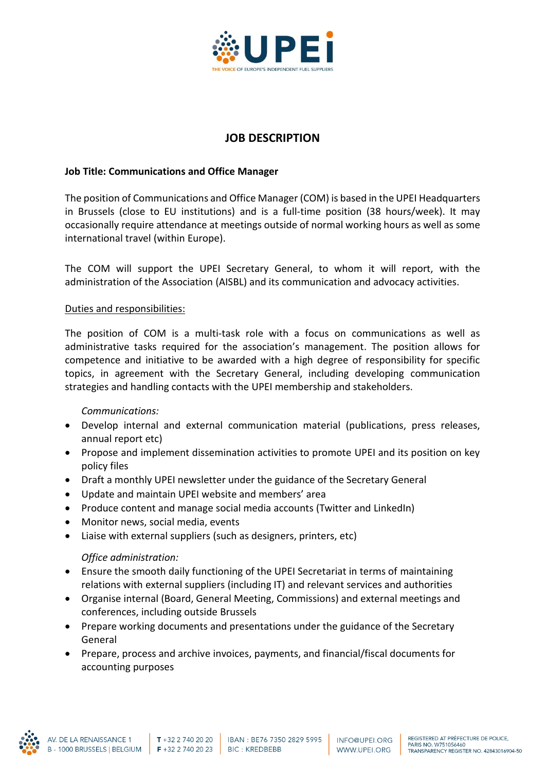

# **JOB DESCRIPTION**

## **Job Title: Communications and Office Manager**

The position of Communications and Office Manager (COM) is based in the UPEI Headquarters in Brussels (close to EU institutions) and is a full-time position (38 hours/week). It may occasionally require attendance at meetings outside of normal working hours as well as some international travel (within Europe).

The COM will support the UPEI Secretary General, to whom it will report, with the administration of the Association (AISBL) and its communication and advocacy activities.

#### Duties and responsibilities:

The position of COM is a multi-task role with a focus on communications as well as administrative tasks required for the association's management. The position allows for competence and initiative to be awarded with a high degree of responsibility for specific topics, in agreement with the Secretary General, including developing communication strategies and handling contacts with the UPEI membership and stakeholders.

#### *Communications:*

- Develop internal and external communication material (publications, press releases, annual report etc)
- Propose and implement dissemination activities to promote UPEI and its position on key policy files
- Draft a monthly UPEI newsletter under the guidance of the Secretary General
- Update and maintain UPEI website and members' area
- Produce content and manage social media accounts (Twitter and LinkedIn)
- Monitor news, social media, events
- Liaise with external suppliers (such as designers, printers, etc)

#### *Office administration:*

- Ensure the smooth daily functioning of the UPEI Secretariat in terms of maintaining relations with external suppliers (including IT) and relevant services and authorities
- Organise internal (Board, General Meeting, Commissions) and external meetings and conferences, including outside Brussels
- Prepare working documents and presentations under the guidance of the Secretary General
- Prepare, process and archive invoices, payments, and financial/fiscal documents for accounting purposes